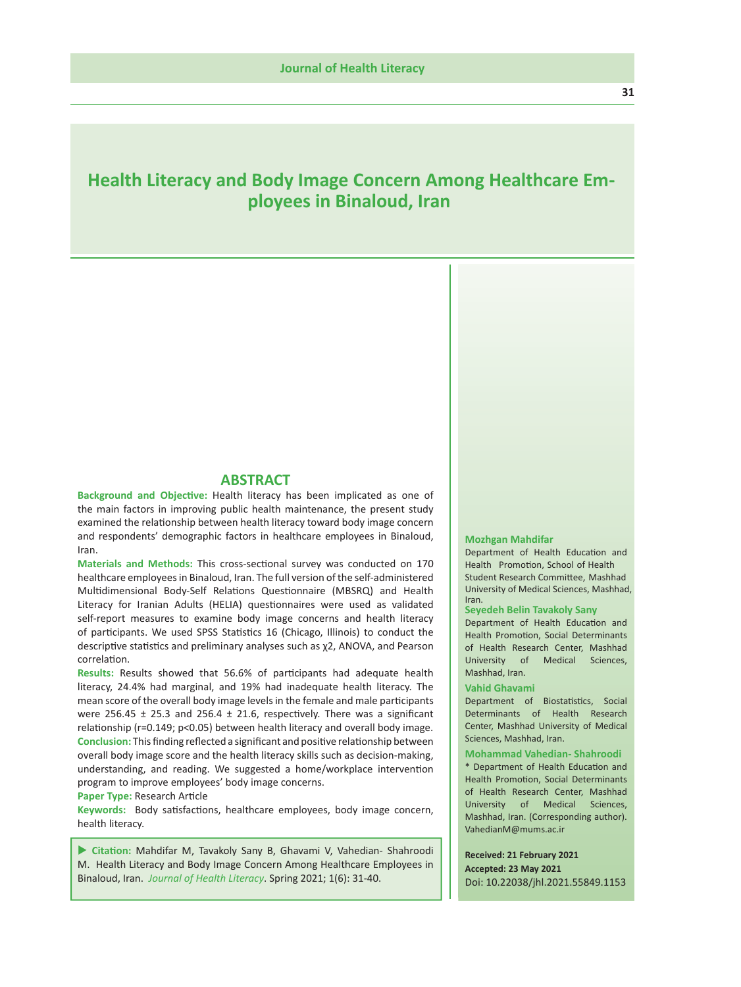# **Health Literacy and Body Image Concern Among Healthcare Employees in Binaloud, Iran**

### **ABSTRACT**

**Background and Objective:** Health literacy has been implicated as one of the main factors in improving public health maintenance, the present study examined the relationship between health literacy toward body image concern and respondents' demographic factors in healthcare employees in Binaloud, Iran.

**Materials and Methods:** This cross-sectional survey was conducted on 170 healthcare employees in Binaloud, Iran. The full version of the self-administered Multidimensional Body-Self Relations Questionnaire (MBSRQ) and Health Literacy for Iranian Adults (HELIA) questionnaires were used as validated self-report measures to examine body image concerns and health literacy of participants. We used SPSS Statistics 16 (Chicago, Illinois) to conduct the descriptive statistics and preliminary analyses such as χ2, ANOVA, and Pearson correlation.

**Results:** Results showed that 56.6% of participants had adequate health literacy, 24.4% had marginal, and 19% had inadequate health literacy. The mean score of the overall body image levels in the female and male participants were 256.45  $\pm$  25.3 and 256.4  $\pm$  21.6, respectively. There was a significant relationship (r=0.149; p<0.05) between health literacy and overall body image. **Conclusion:** This finding reflected a significant and positive relationship between overall body image score and the health literacy skills such as decision-making, understanding, and reading. We suggested a home/workplace intervention program to improve employees' body image concerns.

**Paper Type:** Research Article

**Keywords:** Body satisfactions, healthcare employees, body image concern, health literacy.

 **Citation:** Mahdifar M, Tavakoly Sany B, Ghavami V, Vahedian- Shahroodi M. Health Literacy and Body Image Concern Among Healthcare Employees in Binaloud, Iran. *Journal of Health Literacy*. Spring 2021; 1(6): 31-40.

### **Mozhgan Mahdifar**

Department of Health Education and University of Medical Sciences, Mashhad, Iran. Health Promotion, School of Health Student Research Committee, Mashhad

### **Seyedeh Belin Tavakoly Sany**

Department of Health Education and Health Promotion, Social Determinants of Health Research Center, Mashhad University of Medical Sciences, Mashhad, Iran.

#### **Vahid Ghavami**

Department of Biostatistics, Social Determinants of Health Research Center, Mashhad University of Medical Sciences, Mashhad, Iran.

#### **Mohammad Vahedian- Shahroodi**

\* Department of Health Education and Health Promotion, Social Determinants of Health Research Center, Mashhad University of Medical Sciences, Mashhad, Iran. (Corresponding author). VahedianM@mums.ac.ir

**Received: 21 February 2021 Accepted: 23 May 2021** Doi: 10.22038/jhl.2021.55849.1153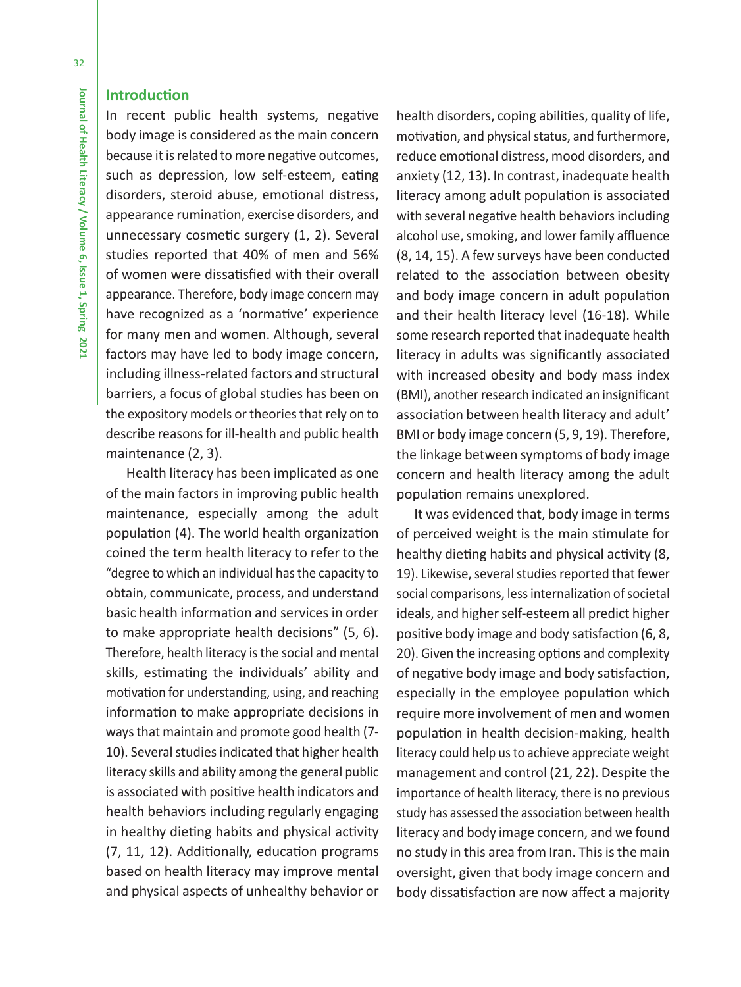### **Introduction**

In recent public health systems, negative body image is considered as the main concern because it is related to more negative outcomes, such as depression, low self-esteem, eating disorders, steroid abuse, emotional distress, appearance rumination, exercise disorders, and unnecessary cosmetic surgery (1, 2). Several studies reported that 40% of men and 56% of women were dissatisfied with their overall appearance. Therefore, body image concern may have recognized as a 'normative' experience for many men and women. Although, several factors may have led to body image concern, including illness-related factors and structural barriers, a focus of global studies has been on the expository models or theories that rely on to describe reasons for ill-health and public health maintenance (2, 3).

 Health literacy has been implicated as one of the main factors in improving public health maintenance, especially among the adult population (4). The world health organization coined the term health literacy to refer to the "degree to which an individual has the capacity to obtain, communicate, process, and understand basic health information and services in order to make appropriate health decisions" (5, 6). Therefore, health literacy is the social and mental skills, estimating the individuals' ability and motivation for understanding, using, and reaching information to make appropriate decisions in ways that maintain and promote good health (7- 10). Several studies indicated that higher health literacy skills and ability among the general public is associated with positive health indicators and health behaviors including regularly engaging in healthy dieting habits and physical activity (7, 11, 12). Additionally, education programs based on health literacy may improve mental and physical aspects of unhealthy behavior or

health disorders, coping abilities, quality of life, motivation, and physical status, and furthermore, reduce emotional distress, mood disorders, and anxiety (12, 13). In contrast, inadequate health literacy among adult population is associated with several negative health behaviors including alcohol use, smoking, and lower family affluence (8, 14, 15). A few surveys have been conducted related to the association between obesity and body image concern in adult population and their health literacy level (16-18). While some research reported that inadequate health literacy in adults was significantly associated with increased obesity and body mass index (BMI), another research indicated an insignificant association between health literacy and adult' BMI or body image concern (5, 9, 19). Therefore, the linkage between symptoms of body image concern and health literacy among the adult population remains unexplored.

It was evidenced that, body image in terms of perceived weight is the main stimulate for healthy dieting habits and physical activity (8, 19). Likewise, several studies reported that fewer social comparisons, less internalization of societal ideals, and higher self-esteem all predict higher positive body image and body satisfaction (6, 8, 20). Given the increasing options and complexity of negative body image and body satisfaction, especially in the employee population which require more involvement of men and women population in health decision-making, health literacy could help us to achieve appreciate weight management and control (21, 22). Despite the importance of health literacy, there is no previous study has assessed the association between health literacy and body image concern, and we found no study in this area from Iran. This is the main oversight, given that body image concern and body dissatisfaction are now affect a majority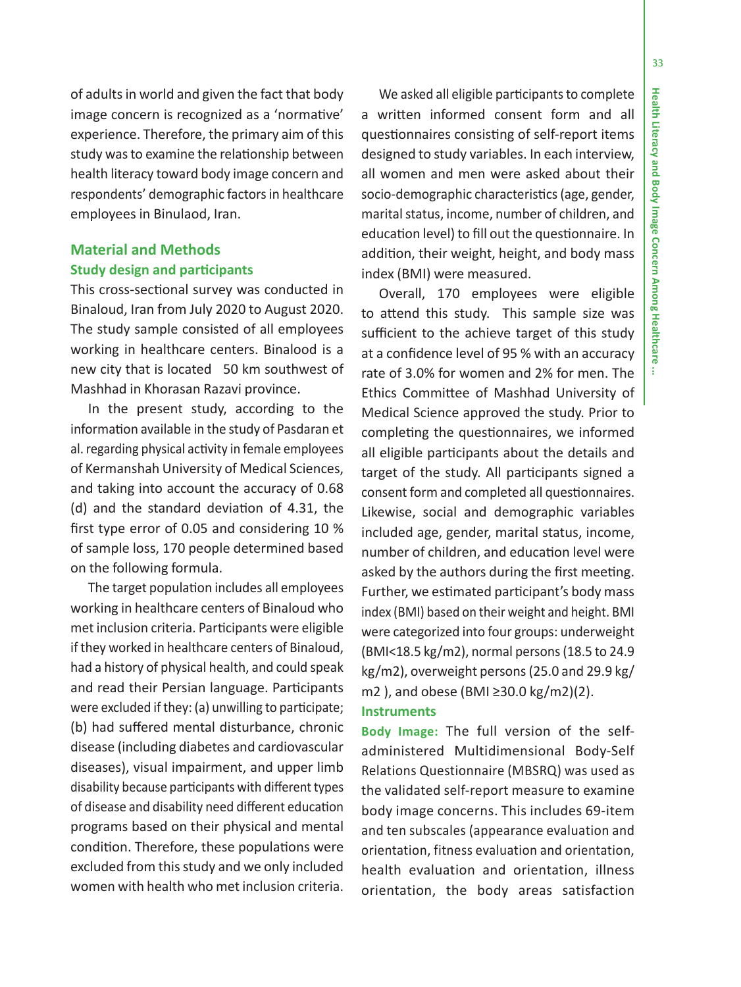÷

33

of adults in world and given the fact that body image concern is recognized as a 'normative' experience. Therefore, the primary aim of this study was to examine the relationship between health literacy toward body image concern and respondents' demographic factors in healthcare employees in Binulaod, Iran.

# **Material and Methods Study design and participants**

This cross-sectional survey was conducted in Binaloud, Iran from July 2020 to August 2020. The study sample consisted of all employees working in healthcare centers. Binalood is a new city that is located 50 km southwest of Mashhad in Khorasan Razavi province.

In the present study, according to the information available in the study of Pasdaran et al. regarding physical activity in female employees of Kermanshah University of Medical Sciences, and taking into account the accuracy of 0.68 (d) and the standard deviation of 4.31, the first type error of 0.05 and considering 10 % of sample loss, 170 people determined based on the following formula.

The target population includes all employees working in healthcare centers of Binaloud who met inclusion criteria. Participants were eligible if they worked in healthcare centers of Binaloud, had a history of physical health, and could speak and read their Persian language. Participants were excluded if they: (a) unwilling to participate; (b) had suffered mental disturbance, chronic disease (including diabetes and cardiovascular diseases), visual impairment, and upper limb disability because participants with different types of disease and disability need different education programs based on their physical and mental condition. Therefore, these populations were excluded from this study and we only included women with health who met inclusion criteria.

We asked all eligible participants to complete a written informed consent form and all questionnaires consisting of self-report items designed to study variables. In each interview, all women and men were asked about their socio-demographic characteristics (age, gender, marital status, income, number of children, and education level) to fill out the questionnaire. In addition, their weight, height, and body mass index (BMI) were measured.

Overall, 170 employees were eligible to attend this study. This sample size was sufficient to the achieve target of this study at a confidence level of 95 % with an accuracy rate of 3.0% for women and 2% for men. The Ethics Committee of Mashhad University of Medical Science approved the study. Prior to completing the questionnaires, we informed all eligible participants about the details and target of the study. All participants signed a consent form and completed all questionnaires. Likewise, social and demographic variables included age, gender, marital status, income, number of children, and education level were asked by the authors during the first meeting. Further, we estimated participant's body mass index (BMI) based on their weight and height. BMI were categorized into four groups: underweight (BMI<18.5 kg/m2), normal persons (18.5 to 24.9 kg/m2), overweight persons (25.0 and 29.9 kg/ m2), and obese (BMI ≥30.0 kg/m2)(2). **Instruments**

**Body Image:** The full version of the selfadministered Multidimensional Body-Self Relations Questionnaire (MBSRQ) was used as the validated self-report measure to examine body image concerns. This includes 69-item and ten subscales (appearance evaluation and orientation, fitness evaluation and orientation, health evaluation and orientation, illness orientation, the body areas satisfaction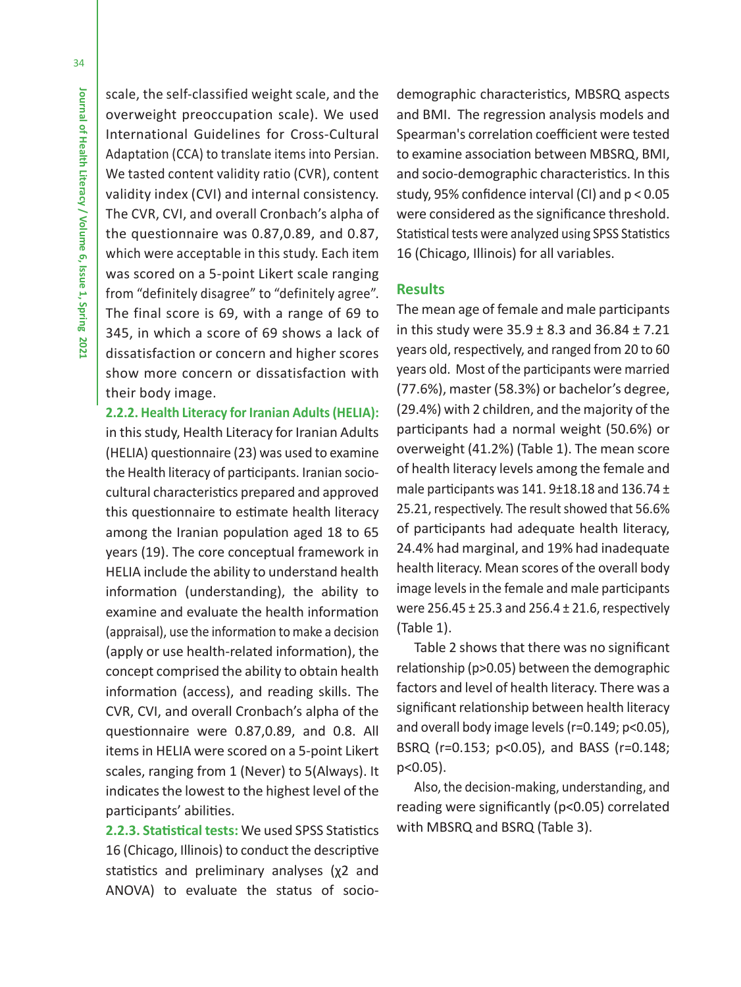scale, the self-classified weight scale, and the overweight preoccupation scale). We used International Guidelines for Cross-Cultural Adaptation (CCA) to translate items into Persian. We tasted content validity ratio (CVR), content validity index (CVI) and internal consistency. The CVR, CVI, and overall Cronbach's alpha of the questionnaire was 0.87,0.89, and 0.87, which were acceptable in this study. Each item was scored on a 5-point Likert scale ranging from "definitely disagree" to "definitely agree". The final score is 69, with a range of 69 to 345, in which a score of 69 shows a lack of dissatisfaction or concern and higher scores show more concern or dissatisfaction with their body image.

**2.2.2. Health Literacy for Iranian Adults (HELIA):**  in this study, Health Literacy for Iranian Adults (HELIA) questionnaire (23) was used to examine the Health literacy of participants. Iranian sociocultural characteristics prepared and approved this questionnaire to estimate health literacy among the Iranian population aged 18 to 65 years (19). The core conceptual framework in HELIA include the ability to understand health information (understanding), the ability to examine and evaluate the health information (appraisal), use the information to make a decision (apply or use health-related information), the concept comprised the ability to obtain health information (access), and reading skills. The CVR, CVI, and overall Cronbach's alpha of the questionnaire were 0.87,0.89, and 0.8. All items in HELIA were scored on a 5-point Likert scales, ranging from 1 (Never) to 5(Always). It indicates the lowest to the highest level of the participants' abilities.

**2.2.3. Statistical tests:** We used SPSS Statistics 16 (Chicago, Illinois) to conduct the descriptive statistics and preliminary analyses (χ2 and ANOVA) to evaluate the status of socio-

demographic characteristics, MBSRQ aspects and BMI. The regression analysis models and Spearman's correlation coefficient were tested to examine association between MBSRQ, BMI, and socio-demographic characteristics. In this study, 95% confidence interval (CI) and p < 0.05 were considered as the significance threshold. Statistical tests were analyzed using SPSS Statistics 16 (Chicago, Illinois) for all variables.

### **Results**

The mean age of female and male participants in this study were  $35.9 \pm 8.3$  and  $36.84 \pm 7.21$ years old, respectively, and ranged from 20 to 60 years old. Most of the participants were married (77.6%), master (58.3%) or bachelor's degree, (29.4%) with 2 children, and the majority of the participants had a normal weight (50.6%) or overweight (41.2%) (Table 1). The mean score of health literacy levels among the female and male participants was  $141.9 \pm 18.18$  and  $136.74 \pm 18.18$ 25.21, respectively. The result showed that 56.6% of participants had adequate health literacy, 24.4% had marginal, and 19% had inadequate health literacy. Mean scores of the overall body image levels in the female and male participants were 256.45 ± 25.3 and 256.4 ± 21.6, respectively (Table 1).

Table 2 shows that there was no significant relationship (p>0.05) between the demographic factors and level of health literacy. There was a significant relationship between health literacy and overall body image levels (r=0.149; p<0.05), BSRQ (r=0.153; p<0.05), and BASS (r=0.148; p<0.05).

Also, the decision-making, understanding, and reading were significantly (p<0.05) correlated with MBSRQ and BSRQ (Table 3).

34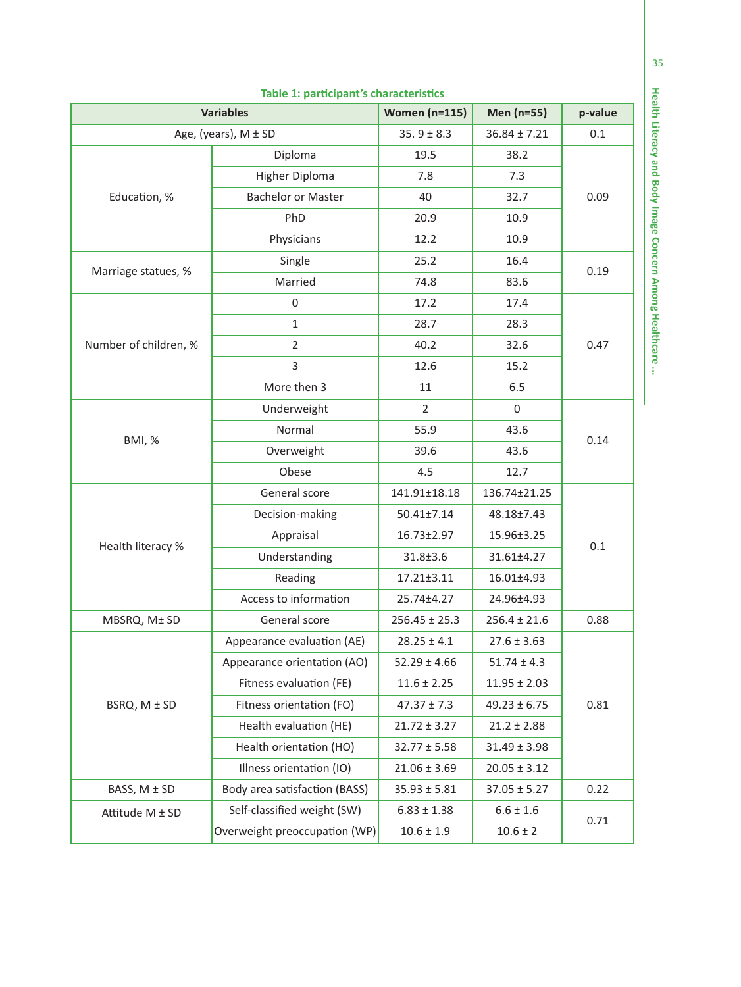| <b>Variables</b>      | <b>Women (n=115)</b>          | Men (n=55)        | p-value          |      |  |  |
|-----------------------|-------------------------------|-------------------|------------------|------|--|--|
|                       | Age, (years), M ± SD          | $35.9 \pm 8.3$    | $36.84 \pm 7.21$ | 0.1  |  |  |
|                       | Diploma                       | 19.5              | 38.2             |      |  |  |
| Education, %          | Higher Diploma                | 7.8               | 7.3              |      |  |  |
|                       | <b>Bachelor or Master</b>     | 40                | 32.7             | 0.09 |  |  |
|                       | PhD                           | 20.9              | 10.9             |      |  |  |
|                       | Physicians                    | 12.2              | 10.9             |      |  |  |
|                       | Single                        | 25.2              | 16.4             |      |  |  |
| Marriage statues, %   | Married                       | 74.8              | 83.6             | 0.19 |  |  |
|                       | $\boldsymbol{0}$              | 17.2              | 17.4             |      |  |  |
|                       | $\mathbf{1}$                  | 28.7              | 28.3             |      |  |  |
| Number of children, % | 2                             | 40.2              | 32.6             | 0.47 |  |  |
|                       | 3                             | 12.6              | 15.2             |      |  |  |
|                       | More then 3                   | 11                | 6.5              |      |  |  |
|                       | Underweight                   | $\overline{2}$    | $\mathbf 0$      | 0.14 |  |  |
| <b>BMI, %</b>         | Normal                        | 55.9              | 43.6             |      |  |  |
|                       | Overweight                    | 39.6              | 43.6             |      |  |  |
|                       | Obese                         | 4.5               | 12.7             |      |  |  |
|                       | General score                 | 141.91±18.18      | 136.74±21.25     |      |  |  |
|                       | Decision-making               | $50.41 \pm 7.14$  | 48.18±7.43       |      |  |  |
|                       | Appraisal                     | 16.73±2.97        | 15.96±3.25       | 0.1  |  |  |
| Health literacy %     | Understanding                 | $31.8 \pm 3.6$    | 31.61±4.27       |      |  |  |
|                       | Reading                       | $17.21 \pm 3.11$  | 16.01±4.93       |      |  |  |
|                       | Access to information         | 25.74±4.27        | 24.96±4.93       |      |  |  |
| MBSRQ, M± SD          | General score                 | $256.45 \pm 25.3$ | $256.4 \pm 21.6$ | 0.88 |  |  |
| BSRQ, M ± SD          | Appearance evaluation (AE)    | $28.25 \pm 4.1$   | $27.6 \pm 3.63$  |      |  |  |
|                       | Appearance orientation (AO)   | $52.29 \pm 4.66$  | $51.74 \pm 4.3$  |      |  |  |
|                       | Fitness evaluation (FE)       | $11.6 \pm 2.25$   | $11.95 \pm 2.03$ |      |  |  |
|                       | Fitness orientation (FO)      | $47.37 \pm 7.3$   | $49.23 \pm 6.75$ | 0.81 |  |  |
|                       | Health evaluation (HE)        | $21.72 \pm 3.27$  | $21.2 \pm 2.88$  |      |  |  |
|                       | Health orientation (HO)       | $32.77 \pm 5.58$  | $31.49 \pm 3.98$ |      |  |  |
|                       | Illness orientation (IO)      | $21.06 \pm 3.69$  | $20.05 \pm 3.12$ |      |  |  |
| BASS, M ± SD          | Body area satisfaction (BASS) | $35.93 \pm 5.81$  | $37.05 \pm 5.27$ | 0.22 |  |  |
| Attitude M ± SD       | Self-classified weight (SW)   | $6.83 \pm 1.38$   | $6.6 \pm 1.6$    | 0.71 |  |  |
|                       | Overweight preoccupation (WP) | $10.6 \pm 1.9$    | $10.6 \pm 2$     |      |  |  |

### **Table 1: participant's characteristics**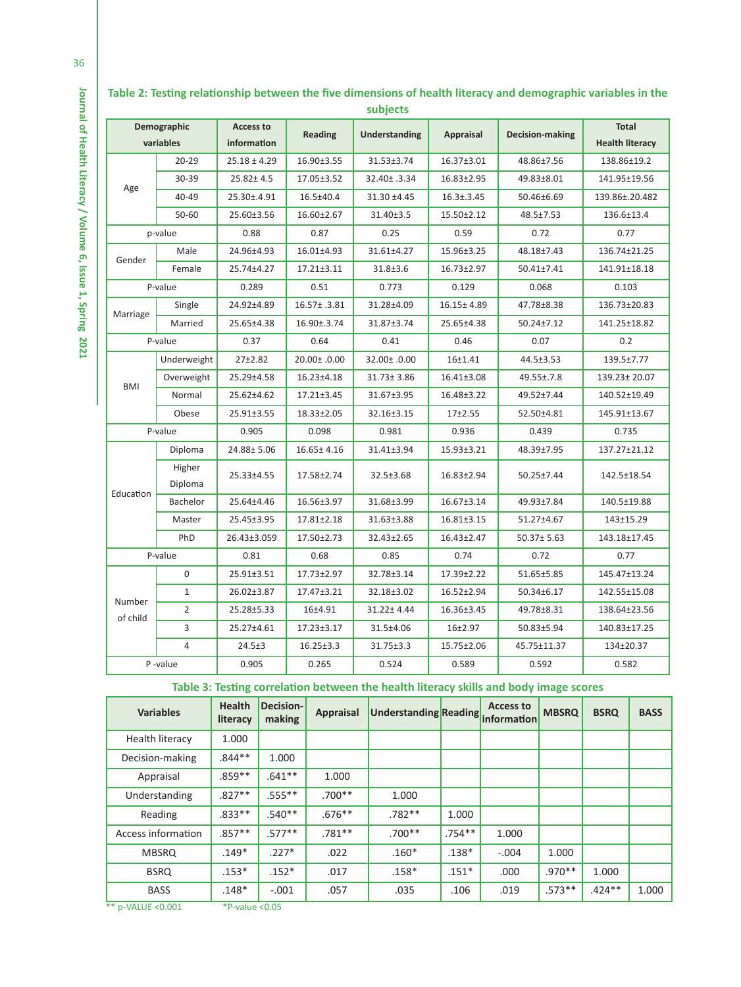| subjects                 |                   |                                 |                  |                  |                  |                  |                                 |  |
|--------------------------|-------------------|---------------------------------|------------------|------------------|------------------|------------------|---------------------------------|--|
| Demographic<br>variables |                   | <b>Access to</b><br>information | <b>Reading</b>   | Understanding    | Appraisal        | Decision-making  | Total<br><b>Health literacy</b> |  |
| Age                      | $20 - 29$         | $25.18 \pm 4.29$                | 16.90±3.55       | 31.53±3.74       | $16.37 \pm 3.01$ | 48.86±7.56       | 138.86±19.2                     |  |
|                          | 30-39             | $25.82 \pm 4.5$                 | 17.05±3.52       | 32.40± .3.34     | $16.83 \pm 2.95$ | 49.83±8.01       | 141.95±19.56                    |  |
|                          | 40-49             | 25.30±.4.91                     | $16.5 \pm 40.4$  | 31.30 ±4.45      | $16.3 \pm .3.45$ | 50.46±6.69       | 139.86±.20.482                  |  |
|                          | $50 - 60$         | 25.60±3.56                      | $16.60 \pm 2.67$ | 31.40±3.5        | $15.50 \pm 2.12$ | 48.5±7.53        | 136.6±13.4                      |  |
| p-value                  |                   | 0.88                            | 0.87             | 0.25             | 0.59             | 0.72             | 0.77                            |  |
|                          | Male              | 24.96±4.93                      | 16.01±4.93       | 31.61±4.27       | 15.96±3.25       | 48.18±7.43       | 136.74±21.25                    |  |
| Gender                   | Female            | 25.74±4.27                      | $17.21 \pm 3.11$ | $31.8 \pm 3.6$   | $16.73 \pm 2.97$ | $50.41 \pm 7.41$ | 141.91±18.18                    |  |
|                          | P-value           | 0.289                           | 0.51             | 0.773            | 0.129            | 0.068            | 0.103                           |  |
|                          | Single            | 24.92±4.89                      | 16.57± .3.81     | 31.28±4.09       | $16.15 \pm 4.89$ | 47.78±8.38       | 136.73±20.83                    |  |
| Marriage                 | Married           | 25.65±4.38                      | 16.90±.3.74      | 31.87±3.74       | 25.65±4.38       | $50.24 \pm 7.12$ | 141.25±18.82                    |  |
|                          | P-value           |                                 | 0.64             | 0.41             | 0.46             | 0.07             | 0.2                             |  |
|                          | Underweight       | $27+2.82$                       | 20.00± .0.00     | 32.00± .0.00     | $16 + 1.41$      | 44.5±3.53        | 139.5±7.77                      |  |
|                          | Overweight        | 25.29±4.58                      | 16.23±4.18       | $31.73 \pm 3.86$ | $16.41 \pm 3.08$ | 49.55±.7.8       | 139.23± 20.07                   |  |
| <b>BMI</b>               | Normal            | 25.62±4.62                      | $17.21 \pm 3.45$ | 31.67±3.95       | 16.48±3.22       | 49.52±7.44       | 140.52±19.49                    |  |
|                          | Obese             | 25.91±3.55                      | 18.33±2.05       | 32.16±3.15       | $17+2.55$        | 52.50±4.81       | 145.91±13.67                    |  |
| P-value                  |                   | 0.905                           | 0.098            | 0.981            | 0.936            | 0.439            | 0.735                           |  |
|                          | Diploma           | 24.88±5.06                      | 16.65± 4.16      | 31.41±3.94       | 15.93±3.21       | 48.39±7.95       | 137.27±21.12                    |  |
|                          | Higher<br>Diploma | 25.33±4.55                      | 17.58±2.74       | 32.5±3.68        | $16.83 \pm 2.94$ | 50.25±7.44       | 142.5±18.54                     |  |
| Education                | Bachelor          | 25.64±4.46                      | 16.56±3.97       | 31.68±3.99       | $16.67 \pm 3.14$ | 49.93±7.84       | 140.5±19.88                     |  |
|                          | Master            | 25.45±3.95                      | $17.81 \pm 2.18$ | 31.63±3.88       | $16.81 \pm 3.15$ | 51.27±4.67       | 143±15.29                       |  |
|                          | PhD               | 26.43±3.059                     | 17.50±2.73       | 32.43±2.65       | $16.43 \pm 2.47$ | $50.37 \pm 5.63$ | 143.18±17.45                    |  |
| P-value                  |                   | 0.81                            | 0.68             | 0.85             | 0.74             | 0.72             | 0.77                            |  |
| Number<br>of child       | $\mathbf 0$       | 25.91±3.51                      | $17.73 \pm 2.97$ | 32.78±3.14       | 17.39±2.22       | 51.65±5.85       | 145.47±13.24                    |  |
|                          | $\mathbf{1}$      | 26.02±3.87                      | 17.47±3.21       | 32.18±3.02       | $16.52 \pm 2.94$ | 50.34±6.17       | 142.55±15.08                    |  |
|                          | $\overline{2}$    | 25.28±5.33                      | 16±4.91          | 31.22±4.44       | 16.36±3.45       | 49.78±8.31       | 138.64±23.56                    |  |
|                          | 3                 | 25.27±4.61                      | $17.23 \pm 3.17$ | 31.5±4.06        | $16+2.97$        | 50.83±5.94       | 140.83±17.25                    |  |
|                          | 4                 | $24.5 + 3$                      | $16.25 \pm 3.3$  | 31.75±3.3        | 15.75±2.06       | 45.75±11.37      | 134±20.37                       |  |
| P-value                  |                   | 0.905                           | 0.265            | 0.524            | 0.589            | 0.592            | 0.582                           |  |

# **Table 2: Testing relationship between the five dimensions of health literacy and demographic variables in the**

**Table 3: Testing correlation between the health literacy skills and body image scores**

| <b>Variables</b>       | <b>Health</b><br>literacy | Decision-<br>making | <b>Appraisal</b> | Understanding Reading |           | <b>Access to</b><br>information | <b>MBSRQ</b> | <b>BSRQ</b> | <b>BASS</b> |
|------------------------|---------------------------|---------------------|------------------|-----------------------|-----------|---------------------------------|--------------|-------------|-------------|
| <b>Health literacy</b> | 1.000                     |                     |                  |                       |           |                                 |              |             |             |
| Decision-making        | $.844**$                  | 1.000               |                  |                       |           |                                 |              |             |             |
| Appraisal              | $.859**$                  | $.641***$           | 1.000            |                       |           |                                 |              |             |             |
| Understanding          | $.827**$                  | $.555***$           | $.700**$         | 1.000                 |           |                                 |              |             |             |
| Reading                | $.833***$                 | $.540**$            | $.676***$        | $.782**$              | 1.000     |                                 |              |             |             |
| Access information     | $.857**$                  | $.577**$            | $.781**$         | $.700**$              | $.754***$ | 1.000                           |              |             |             |
| <b>MBSRQ</b>           | $.149*$                   | $.227*$             | .022             | $.160*$               | $.138*$   | $-.004$                         | 1.000        |             |             |
| <b>BSRQ</b>            | $.153*$                   | $.152*$             | .017             | $.158*$               | $.151*$   | .000                            | $.970**$     | 1.000       |             |
| <b>BASS</b>            | $.148*$                   | $-.001$             | .057             | .035                  | .106      | .019                            | $.573**$     | $.424***$   | 1.000       |
| ** p-VALUE <0.001      | *P-value $< 0.05$         |                     |                  |                       |           |                                 |              |             |             |

**Journal of Health Literacy / Volume 6, Issue 1, Spring 2021**

Journal of Health Literacy / Volume 6, Issue 1, Spring 2021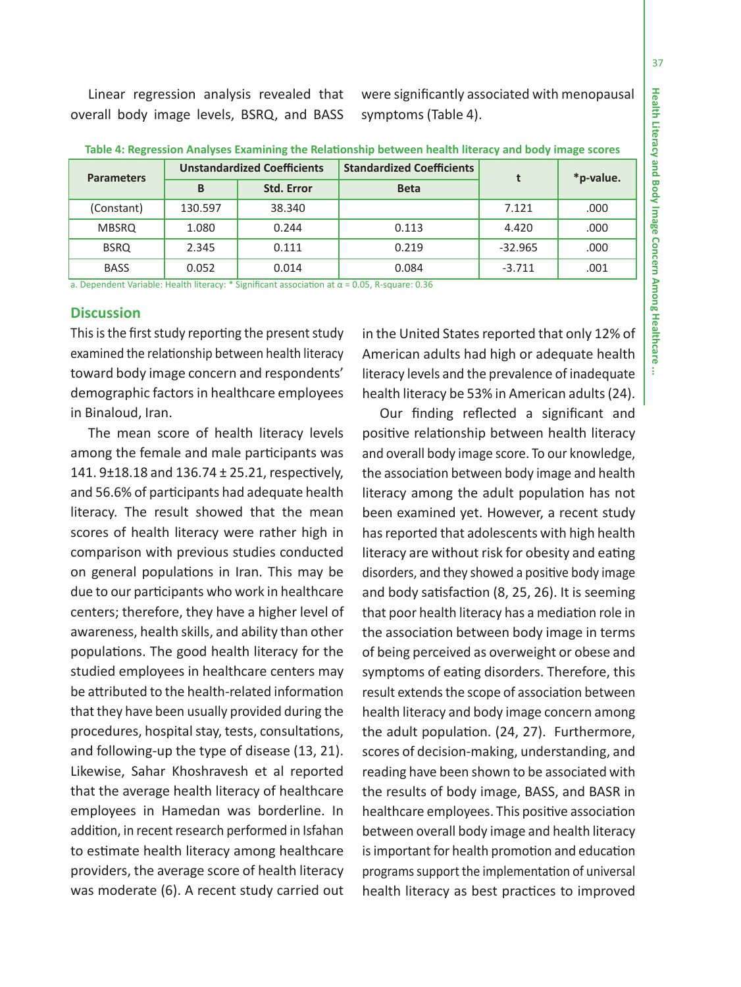÷

Linear regression analysis revealed that overall body image levels, BSRQ, and BASS were significantly associated with menopausal symptoms (Table 4).

| <b>Parameters</b> |         | <b>Unstandardized Coefficients</b> | <b>Standardized Coefficients</b> |           |           |  |
|-------------------|---------|------------------------------------|----------------------------------|-----------|-----------|--|
|                   | B       | <b>Std. Error</b>                  | <b>Beta</b>                      |           | *p-value. |  |
| (Constant)        | 130.597 | 38.340                             |                                  | 7.121     | .000      |  |
| <b>MBSRQ</b>      | 1.080   | 0.244                              | 0.113                            | 4.420     | .000      |  |
| <b>BSRQ</b>       | 2.345   | 0.111                              | 0.219                            | $-32.965$ | .000      |  |
| <b>BASS</b>       | 0.052   | 0.014                              | 0.084                            | $-3.711$  | .001      |  |

**Table 4: Regression Analyses Examining the Relationship between health literacy and body image scores**

a. Dependent Variable: Health literacy: \* Significant association at α = 0.05, R-square: 0.36

### **Discussion**

This is the first study reporting the present study examined the relationship between health literacy toward body image concern and respondents' demographic factors in healthcare employees in Binaloud, Iran.

The mean score of health literacy levels among the female and male participants was 141. 9±18.18 and 136.74 ± 25.21, respectively, and 56.6% of participants had adequate health literacy. The result showed that the mean scores of health literacy were rather high in comparison with previous studies conducted on general populations in Iran. This may be due to our participants who work in healthcare centers; therefore, they have a higher level of awareness, health skills, and ability than other populations. The good health literacy for the studied employees in healthcare centers may be attributed to the health-related information that they have been usually provided during the procedures, hospital stay, tests, consultations, and following-up the type of disease (13, 21). Likewise, Sahar Khoshravesh et al reported that the average health literacy of healthcare employees in Hamedan was borderline. In addition, in recent research performed in Isfahan to estimate health literacy among healthcare providers, the average score of health literacy was moderate (6). A recent study carried out in the United States reported that only 12% of American adults had high or adequate health literacy levels and the prevalence of inadequate health literacy be 53% in American adults (24).

Our finding reflected a significant and positive relationship between health literacy and overall body image score. To our knowledge, the association between body image and health literacy among the adult population has not been examined yet. However, a recent study has reported that adolescents with high health literacy are without risk for obesity and eating disorders, and they showed a positive body image and body satisfaction (8, 25, 26). It is seeming that poor health literacy has a mediation role in the association between body image in terms of being perceived as overweight or obese and symptoms of eating disorders. Therefore, this result extends the scope of association between health literacy and body image concern among the adult population. (24, 27). Furthermore, scores of decision-making, understanding, and reading have been shown to be associated with the results of body image, BASS, and BASR in healthcare employees. This positive association between overall body image and health literacy is important for health promotion and education programs support the implementation of universal health literacy as best practices to improved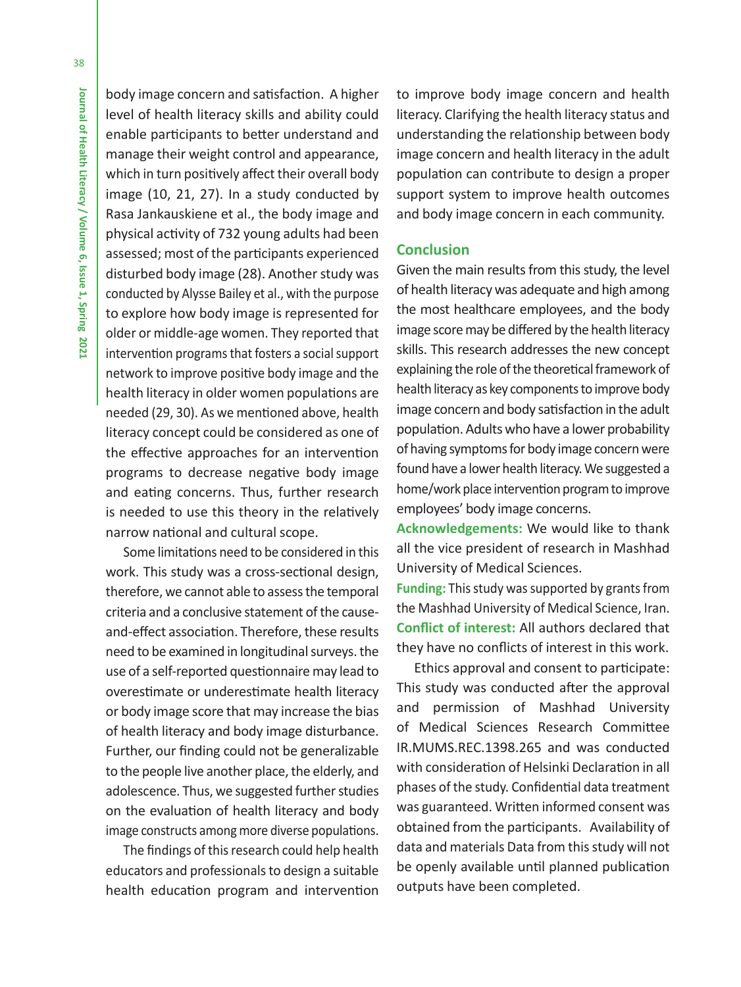body image concern and satisfaction. A higher level of health literacy skills and ability could enable participants to better understand and manage their weight control and appearance, which in turn positively affect their overall body image (10, 21, 27). In a study conducted by Rasa Jankauskiene et al., the body image and physical activity of 732 young adults had been assessed; most of the participants experienced disturbed body image (28). Another study was conducted by Alysse Bailey et al., with the purpose to explore how body image is represented for older or middle-age women. They reported that intervention programs that fosters a social support network to improve positive body image and the health literacy in older women populations are needed (29, 30). As we mentioned above, health literacy concept could be considered as one of the effective approaches for an intervention programs to decrease negative body image and eating concerns. Thus, further research is needed to use this theory in the relatively narrow national and cultural scope.

Some limitations need to be considered in this work. This study was a cross-sectional design, therefore, we cannot able to assess the temporal criteria and a conclusive statement of the causeand-effect association. Therefore, these results need to be examined in longitudinal surveys. the use of a self-reported questionnaire may lead to overestimate or underestimate health literacy or body image score that may increase the bias of health literacy and body image disturbance. Further, our finding could not be generalizable to the people live another place, the elderly, and adolescence. Thus, we suggested further studies on the evaluation of health literacy and body image constructs among more diverse populations.

The findings of this research could help health educators and professionals to design a suitable health education program and intervention to improve body image concern and health literacy. Clarifying the health literacy status and understanding the relationship between body image concern and health literacy in the adult population can contribute to design a proper support system to improve health outcomes and body image concern in each community.

# **Conclusion**

Given the main results from this study, the level of health literacy was adequate and high among the most healthcare employees, and the body image score may be differed by the health literacy skills. This research addresses the new concept explaining the role of the theoretical framework of health literacy as key components to improve body image concern and body satisfaction in the adult population. Adults who have a lower probability of having symptoms for body image concern were found have a lower health literacy. We suggested a home/work place intervention program to improve employees' body image concerns.

**Acknowledgements:** We would like to thank all the vice president of research in Mashhad University of Medical Sciences.

**Funding:** This study was supported by grants from the Mashhad University of Medical Science, Iran. **Conflict of interest:** All authors declared that they have no conflicts of interest in this work.

Ethics approval and consent to participate: This study was conducted after the approval and permission of Mashhad University of Medical Sciences Research Committee IR.MUMS.REC.1398.265 and was conducted with consideration of Helsinki Declaration in all phases of the study. Confidential data treatment was guaranteed. Written informed consent was obtained from the participants. Availability of data and materials Data from this study will not be openly available until planned publication outputs have been completed.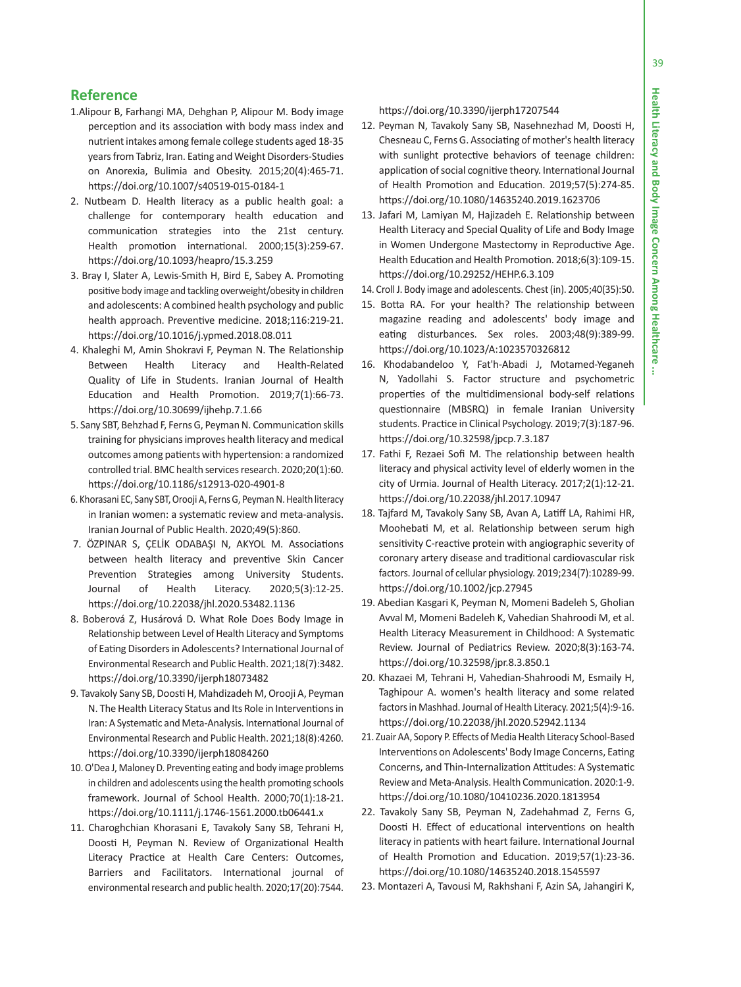÷

# **Reference**

- 1.Alipour B, Farhangi MA, Dehghan P, Alipour M. Body image perception and its association with body mass index and nutrient intakes among female college students aged 18-35 years from Tabriz, Iran. Eating and Weight Disorders-Studies on Anorexia, Bulimia and Obesity. 2015;20(4):465-71. https://doi.org/10.1007/s40519-015-0184-1
- 2. Nutbeam D. Health literacy as a public health goal: a challenge for contemporary health education and communication strategies into the 21st century. Health promotion international. 2000;15(3):259-67. https://doi.org/10.1093/heapro/15.3.259
- 3. Bray I, Slater A, Lewis-Smith H, Bird E, Sabey A. Promoting positive body image and tackling overweight/obesity in children and adolescents: A combined health psychology and public health approach. Preventive medicine. 2018;116:219-21. https://doi.org/10.1016/j.ypmed.2018.08.011
- 4. Khaleghi M, Amin Shokravi F, Peyman N. The Relationship Between Health Literacy and Health-Related Quality of Life in Students. Iranian Journal of Health Education and Health Promotion. 2019;7(1):66-73. https://doi.org/10.30699/ijhehp.7.1.66
- 5. Sany SBT, Behzhad F, Ferns G, Peyman N. Communication skills training for physicians improves health literacy and medical outcomes among patients with hypertension: a randomized controlled trial. BMC health services research. 2020;20(1):60. https://doi.org/10.1186/s12913-020-4901-8
- 6. Khorasani EC, Sany SBT, Orooji A, Ferns G, Peyman N. Health literacy in Iranian women: a systematic review and meta-analysis. Iranian Journal of Public Health. 2020;49(5):860.
- 7. ÖZPINAR S, ÇELİK ODABAŞI N, AKYOL M. Associations between health literacy and preventive Skin Cancer Prevention Strategies among University Students. Journal of Health Literacy. 2020;5(3):12-25. https://doi.org/10.22038/jhl.2020.53482.1136
- 8. Boberová Z, Husárová D. What Role Does Body Image in Relationship between Level of Health Literacy and Symptoms of Eating Disorders in Adolescents? International Journal of Environmental Research and Public Health. 2021;18(7):3482. https://doi.org/10.3390/ijerph18073482
- 9. Tavakoly Sany SB, Doosti H, Mahdizadeh M, Orooji A, Peyman N. The Health Literacy Status and Its Role in Interventions in Iran: A Systematic and Meta-Analysis. International Journal of Environmental Research and Public Health. 2021;18(8):4260. https://doi.org/10.3390/ijerph18084260
- 10. O'Dea J, Maloney D. Preventing eating and body image problems in children and adolescents using the health promoting schools framework. Journal of School Health. 2000;70(1):18-21. https://doi.org/10.1111/j.1746-1561.2000.tb06441.x
- 11. Charoghchian Khorasani E, Tavakoly Sany SB, Tehrani H, Doosti H, Peyman N. Review of Organizational Health Literacy Practice at Health Care Centers: Outcomes, Barriers and Facilitators. International journal of environmental research and public health. 2020;17(20):7544.

https://doi.org/10.3390/ijerph17207544

- 12. Peyman N, Tavakoly Sany SB, Nasehnezhad M, Doosti H, Chesneau C, Ferns G. Associating of mother's health literacy with sunlight protective behaviors of teenage children: application of social cognitive theory. International Journal of Health Promotion and Education. 2019;57(5):274-85. https://doi.org/10.1080/14635240.2019.1623706
- 13. Jafari M, Lamiyan M, Hajizadeh E. Relationship between Health Literacy and Special Quality of Life and Body Image in Women Undergone Mastectomy in Reproductive Age. Health Education and Health Promotion. 2018;6(3):109-15. https://doi.org/10.29252/HEHP.6.3.109
- 14. Croll J. Body image and adolescents. Chest (in). 2005;40(35):50.
- 15. Botta RA. For your health? The relationship between magazine reading and adolescents' body image and eating disturbances. Sex roles. 2003;48(9):389-99. https://doi.org/10.1023/A:1023570326812
- 16. Khodabandeloo Y, Fat'h-Abadi J, Motamed-Yeganeh N, Yadollahi S. Factor structure and psychometric properties of the multidimensional body-self relations questionnaire (MBSRQ) in female Iranian University students. Practice in Clinical Psychology. 2019;7(3):187-96. https://doi.org/10.32598/jpcp.7.3.187
- 17. Fathi F, Rezaei Sofi M. The relationship between health literacy and physical activity level of elderly women in the city of Urmia. Journal of Health Literacy. 2017;2(1):12-21. https://doi.org/10.22038/jhl.2017.10947
- 18. Tajfard M, Tavakoly Sany SB, Avan A, Latiff LA, Rahimi HR, Moohebati M, et al. Relationship between serum high sensitivity C-reactive protein with angiographic severity of coronary artery disease and traditional cardiovascular risk factors. Journal of cellular physiology. 2019;234(7):10289-99. https://doi.org/10.1002/jcp.27945
- 19. Abedian Kasgari K, Peyman N, Momeni Badeleh S, Gholian Avval M, Momeni Badeleh K, Vahedian Shahroodi M, et al. Health Literacy Measurement in Childhood: A Systematic Review. Journal of Pediatrics Review. 2020;8(3):163-74. https://doi.org/10.32598/jpr.8.3.850.1
- 20. Khazaei M, Tehrani H, Vahedian-Shahroodi M, Esmaily H, Taghipour A. women's health literacy and some related factors in Mashhad. Journal of Health Literacy. 2021;5(4):9-16. https://doi.org/10.22038/jhl.2020.52942.1134
- 21. Zuair AA, Sopory P. Effects of Media Health Literacy School-Based Interventions on Adolescents' Body Image Concerns, Eating Concerns, and Thin-Internalization Attitudes: A Systematic Review and Meta-Analysis. Health Communication. 2020:1-9. https://doi.org/10.1080/10410236.2020.1813954
- 22. Tavakoly Sany SB, Peyman N, Zadehahmad Z, Ferns G, Doosti H. Effect of educational interventions on health literacy in patients with heart failure. International Journal of Health Promotion and Education. 2019;57(1):23-36. https://doi.org/10.1080/14635240.2018.1545597
- 23. Montazeri A, Tavousi M, Rakhshani F, Azin SA, Jahangiri K,